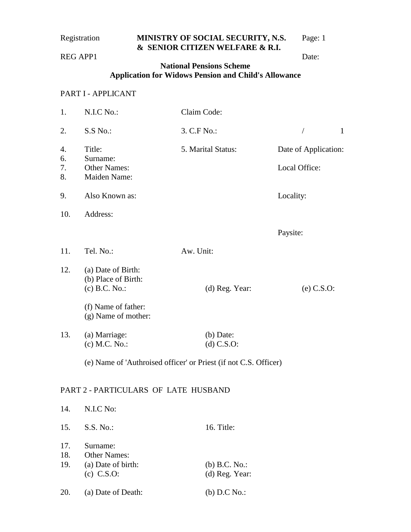## Registration **MINISTRY OF SOCIAL SECURITY, N.S.** Page: 1 **& SENIOR CITIZEN WELFARE & R.I.**

REG APP1 Date:

## **National Pensions Scheme Application for Widows Pension and Child's Allowance**

# PART I - APPLICANT

| 1.                                                               | N.I.C No.:                                            | Claim Code:        |                            |
|------------------------------------------------------------------|-------------------------------------------------------|--------------------|----------------------------|
| 2.                                                               | S.S No.:                                              | 3. C.F No.:        | $\mathbf{1}$<br>$\sqrt{2}$ |
| 4.<br>6.                                                         | Title:<br>Surname:                                    | 5. Marital Status: | Date of Application:       |
| 7.<br>8.                                                         | <b>Other Names:</b><br>Maiden Name:                   |                    | Local Office:              |
| 9.                                                               | Also Known as:                                        |                    | Locality:                  |
| 10.                                                              | Address:                                              |                    |                            |
|                                                                  |                                                       |                    | Paysite:                   |
| 11.                                                              | Tel. No.:                                             | Aw. Unit:          |                            |
| 12.                                                              | (a) Date of Birth:<br>(b) Place of Birth:             |                    |                            |
|                                                                  | $(c)$ B.C. No.:                                       | (d) Reg. Year:     | $(e)$ C.S.O:               |
|                                                                  | (f) Name of father:<br>(g) Name of mother:            |                    |                            |
| 13.                                                              | (a) Marriage:                                         | $(b)$ Date:        |                            |
|                                                                  | (c) M.C. No.:                                         | $(d)$ C.S.O:       |                            |
| (e) Name of 'Authroised officer' or Priest (if not C.S. Officer) |                                                       |                    |                            |
|                                                                  | PART 2 - PARTICULARS OF LATE HUSBAND                  |                    |                            |
| 14.                                                              | N.I.C No:                                             |                    |                            |
| 15.                                                              | S.S. No.:                                             | 16. Title:         |                            |
| 17.<br>18.<br>19.                                                | Surname:<br><b>Other Names:</b><br>(a) Date of birth: | (b) B.C. No.:      |                            |
|                                                                  | $(c)$ C.S.O:                                          | (d) Reg. Year:     |                            |

20. (a) Date of Death: (b) D.C No.: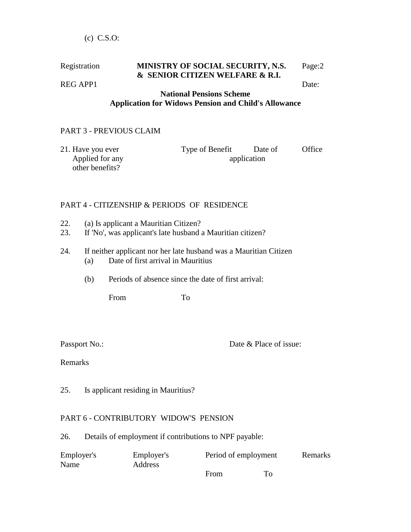#### Registration **MINISTRY OF SOCIAL SECURITY, N.S.** Page:2 **& SENIOR CITIZEN WELFARE & R.I.**  REG APP1 Date:

### **National Pensions Scheme Application for Widows Pension and Child's Allowance**

# PART 3 - PREVIOUS CLAIM

| 21. Have you ever | Type of Benefit | Date of     | Office |
|-------------------|-----------------|-------------|--------|
| Applied for any   |                 | application |        |
| other benefits?   |                 |             |        |

### PART 4 - CITIZENSHIP & PERIODS OF RESIDENCE

- 22. (a) Is applicant a Mauritian Citizen?
- 23. If 'No', was applicant's late husband a Mauritian citizen?
- 24. If neither applicant nor her late husband was a Mauritian Citizen (a) Date of first arrival in Mauritius
	- (b) Periods of absence since the date of first arrival:

From To

Passport No.: Date & Place of issue:

Remarks

25. Is applicant residing in Mauritius?

### PART 6 - CONTRIBUTORY WIDOW'S PENSION

26. Details of employment if contributions to NPF payable:

| Employer's | Employer's     | Period of employment | Remarks |
|------------|----------------|----------------------|---------|
| Name       | <b>Address</b> |                      |         |
|            |                | From                 |         |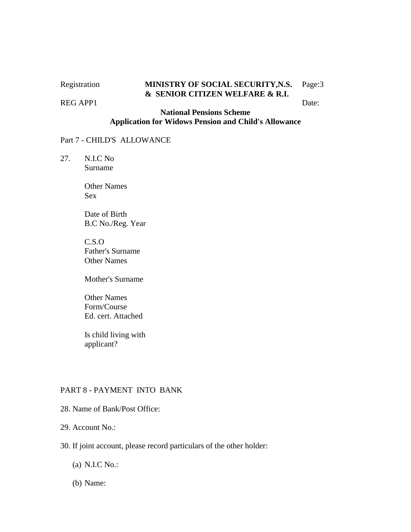#### REG APP1 Date:

# Registration **MINISTRY OF SOCIAL SECURITY,N.S.** Page:3 **& SENIOR CITIZEN WELFARE & R.I.**

# **National Pensions Scheme Application for Widows Pension and Child's Allowance**

#### Part 7 - CHILD'S ALLOWANCE

27. N.I.C No Surname

> Other Names Sex

 Date of Birth B.C No./Reg. Year

 C.S.O Father's Surname Other Names

Mother's Surname

 Other Names Form/Course Ed. cert. Attached

 Is child living with applicant?

#### PART 8 - PAYMENT INTO BANK

28. Name of Bank/Post Office:

29. Account No.:

- 30. If joint account, please record particulars of the other holder:
	- (a) N.I.C No.:
	- (b) Name: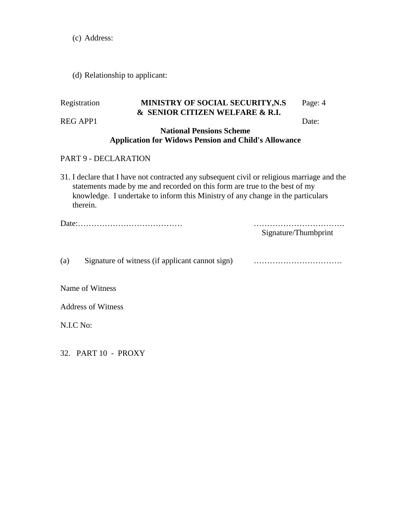(c) Address:

# (d) Relationship to applicant:

|     | Registration              | MINISTRY OF SOCIAL SECURITY, N.S<br>& SENIOR CITIZEN WELFARE & R.I.                                                                                                                                                                                          | Page: 4              |
|-----|---------------------------|--------------------------------------------------------------------------------------------------------------------------------------------------------------------------------------------------------------------------------------------------------------|----------------------|
|     | <b>REG APP1</b>           |                                                                                                                                                                                                                                                              | Date:                |
|     |                           | <b>National Pensions Scheme</b><br><b>Application for Widows Pension and Child's Allowance</b>                                                                                                                                                               |                      |
|     | PART 9 - DECLARATION      |                                                                                                                                                                                                                                                              |                      |
|     | therein.                  | 31. I declare that I have not contracted any subsequent civil or religious marriage and the<br>statements made by me and recorded on this form are true to the best of my<br>knowledge. I undertake to inform this Ministry of any change in the particulars |                      |
|     |                           |                                                                                                                                                                                                                                                              | Signature/Thumbprint |
| (a) |                           | Signature of witness (if applicant cannot sign)                                                                                                                                                                                                              |                      |
|     | Name of Witness           |                                                                                                                                                                                                                                                              |                      |
|     | <b>Address of Witness</b> |                                                                                                                                                                                                                                                              |                      |
|     | N.I.C No:                 |                                                                                                                                                                                                                                                              |                      |
|     | 32. PART 10 - PROXY       |                                                                                                                                                                                                                                                              |                      |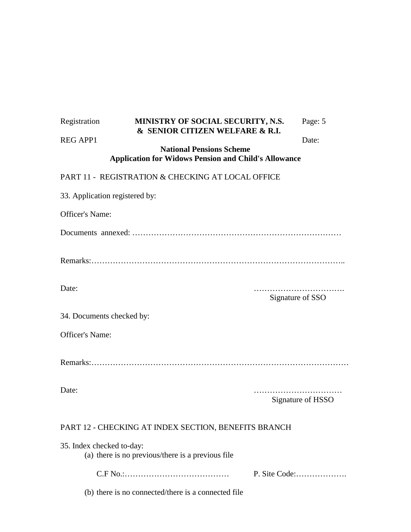| Registration                   | MINISTRY OF SOCIAL SECURITY, N.S.<br>& SENIOR CITIZEN WELFARE & R.I.                           | Page: 5           |  |
|--------------------------------|------------------------------------------------------------------------------------------------|-------------------|--|
| <b>REG APP1</b>                |                                                                                                | Date:             |  |
|                                | <b>National Pensions Scheme</b><br><b>Application for Widows Pension and Child's Allowance</b> |                   |  |
|                                | PART 11 - REGISTRATION & CHECKING AT LOCAL OFFICE                                              |                   |  |
| 33. Application registered by: |                                                                                                |                   |  |
| Officer's Name:                |                                                                                                |                   |  |
|                                |                                                                                                |                   |  |
|                                |                                                                                                |                   |  |
| Date:                          |                                                                                                | Signature of SSO  |  |
| 34. Documents checked by:      |                                                                                                |                   |  |
| Officer's Name:                |                                                                                                |                   |  |
|                                |                                                                                                |                   |  |
| Date:                          |                                                                                                | Signature of HSSO |  |
|                                | PART 12 - CHECKING AT INDEX SECTION, BENEFITS BRANCH                                           |                   |  |
| 35. Index checked to-day:      | (a) there is no previous/there is a previous file                                              |                   |  |
|                                |                                                                                                | P. Site Code:     |  |
|                                | (b) there is no connected/there is a connected file                                            |                   |  |